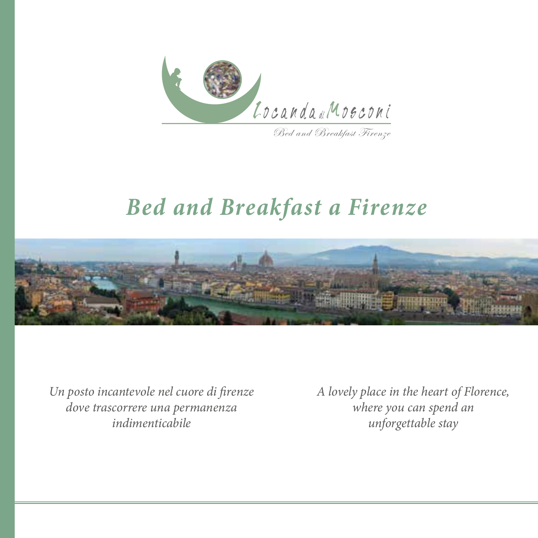

Bed and Breakfast Firenze

## *Bed and Breakfast a Firenze*



*Un posto incantevole nel cuore di firenze dove trascorrere una permanenza indimenticabile*

*A lovely place in the heart of Florence, where you can spend an unforgettable stay*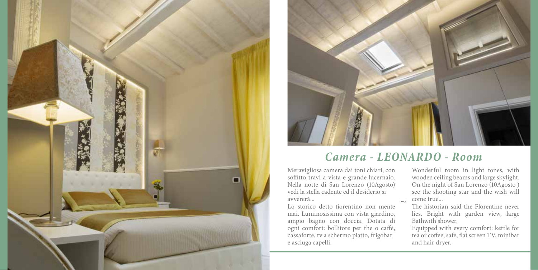



## *Camera - LEONARDO - Room*

 $\sim$ 

Meravigliosa camera dai toni chiari, con soffitto travi a vista e grande lucernaio. Nella notte di San Lorenzo (10Agosto) vedi la stella cadente ed il desiderio si avvererà...

Lo storico detto fiorentino non mente mai. Luminosissima con vista giardino, ampio bagno con doccia. Dotata di ogni comfort: bollitore per the o caffè, cassaforte, tv a schermo piatto, frigobar e asciuga capelli.

Wonderful room in light tones, with wooden ceiling beams and large skylight. On the night of San Lorenzo (10Agosto ) see the shooting star and the wish will come true...

The historian said the Florentine never lies. Bright with garden view, large Bathwith shower.

Equipped with every comfort: kettle for tea or coffee, safe, flat screen TV, minibar and hair dryer.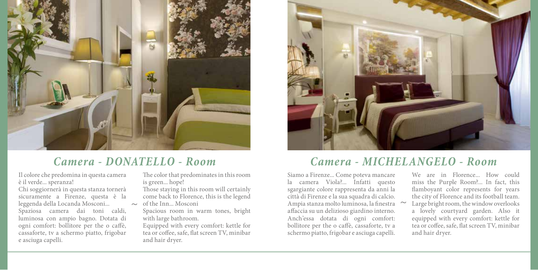

Il colore che predomina in questa camera è il verde... speranza!

Chi soggiornerà in questa stanza tornerà sicuramente a Firenze, questa è la leggenda della Locanda Mosconi... Spaziosa camera dai toni caldi, luminosa con ampio bagno. Dotata di ogni comfort: bollitore per the o caffè, cassaforte, tv a schermo piatto, frigobar e asciuga capelli.

The color that predominates in this room is green... hope!

Those staying in this room will certainly come back to Florence, this is the legend

of the Inn... Mosconi

Spacious room in warm tones, bright with large bathroom.

Equipped with every comfort: kettle for tea or coffee, safe, flat screen TV, minibar and hair dryer.



#### *Camera - DONATELLO - Room Camera - MICHELANGELO - Room*

Siamo a Firenze... Come poteva mancare la camera Viola?... Infatti questo sgargiante colore rappresenta da anni la città di Firenze e la sua squadra di calcio.  $\sim$  of the Inn... Mosconic standard model is the regenuity of the Inn... Mosconic luminosa, la finestra  $\sim$   $\frac{1}{2}$ affaccia su un delizioso giardino interno. Anch'essa dotata di ogni comfort: bollitore per the o caffè, cassaforte, tv a schermo piatto, frigobar e asciuga capelli.

We are in Florence... How could miss the Purple Room?... In fact, this flamboyant color represents for years the city of Florence and its football team. Large bright room, the window overlooks a lovely courtyard garden. Also it equipped with every comfort: kettle for tea or coffee, safe, flat screen TV, minibar and hair dryer.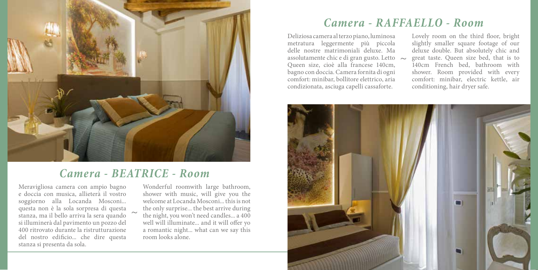

#### *Camera - BEATRICE - Room*

Meravigliosa camera con ampio bagno e doccia con musica, allieterà il vostro soggiorno alla Locanda Mosconi... questa non è la sola sorpresa di questa questa non è la sola sorpresa di questa<br>stanza, ma il bello arriva la sera quando  $\sim$ si illuminerà dal pavimento un pozzo del 400 ritrovato durante la ristrutturazione del nostro edificio... che dire questa stanza si presenta da sola.

Wonderful roomwith large bathroom, shower with music, will give you the welcome at Locanda Mosconi... this is not the only surprise... the best arrive during the night, you won't need candles... a 400 well will illuminate... and it will offer yo a romantic night... what can we say this room looks alone.

#### *Camera - RAFFAELLO - Room*

Deliziosa camera al terzo piano, luminosa metratura leggermente più piccola delle nostre matrimoniali deluxe. Ma assolutamente chic e di gran gusto. Letto  $\sim$ Queen size, cioè alla francese 140cm, bagno con doccia. Camera fornita di ogni comfort: minibar, bollitore elettrico, aria condizionata, asciuga capelli cassaforte.

Lovely room on the third floor, bright slightly smaller square footage of our deluxe double. But absolutely chic and great taste. Queen size bed, that is to 140cm French bed, bathroom with shower. Room provided with every comfort: minibar, electric kettle, air conditioning, hair dryer safe.

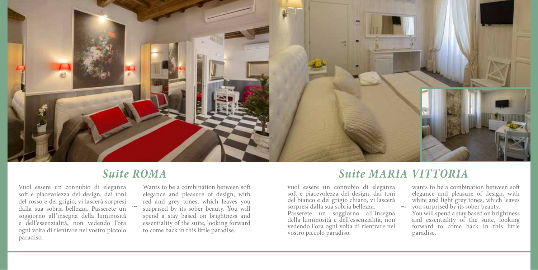

Vuol essere un connubio di eleganza soft e piacevolezza del design, dai toni del rosso e del grigio, vi lascerà sorpresi dalla sua sobria bellezza. Passerete un soggiorno all'insegna della luminosità e dell'essenzialità, non vedendo l'ora ogni volta di rientrare nel vostro piccolo paradiso.

Wants to be a combination between soft elegance and pleasure of design, with red and grey tones, which leaves you surprised by its sober beauty. You will spend a stay based on brightness and essentiality of the suite, looking forward to come back in this little paradise. red and grey tones, which leaves you are the derivative derivative that we surprised by its sober beauty. You will

### *Suite ROMA Suite MARIA VITTORIA*

paradise.

vuol essere un connubio di eleganza soft e piacevolezza del design, dai toni del bianco e del grigio chiaro, vi lascerà Passerete un soggiorno all'insegna della luminosità e dell'essenzialità, non vedendo l'ora ogni volta di rientrare nel vostro piccolo paradiso.

wants to be a combination between soft elegance and pleasure of design, with white and light grey tones, which leaves you surprised by its sober beauty. You will spend a stay based on brightness and essentiality of the suite, looking forward to come back in this little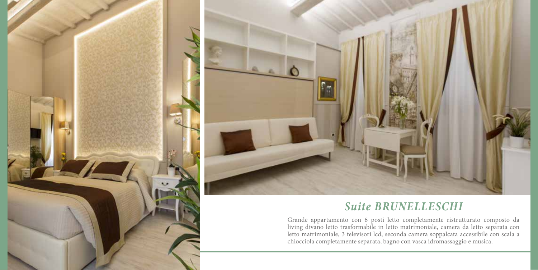



## *Suite BRUNELLESCHI*

Grande appartamento con 6 posti letto completamente ristrutturato composto da living divano letto trasformabile in letto matrimoniale, camera da letto separata con letto matrimoniale, 3 televisori lcd, seconda camera soppalcata accessibile con scala a chiocciola completamente separata, bagno con vasca idromassaggio e musica.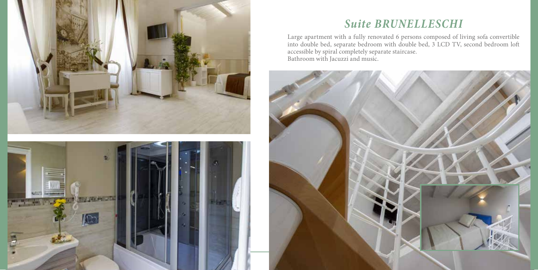



## *Suite BRUNELLESCHI*

Large apartment with a fully renovated 6 persons composed of living sofa convertible into double bed, separate bedroom with double bed, 3 LCD TV, second bedroom loft accessible by spiral completely separate staircase. Bathroom with Jacuzzi and music.

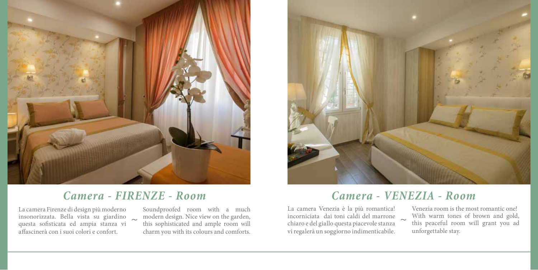

#### *Camera - FIRENZE - Room Camera - VENEZIA - Room*

La camera Firenze di design più moderno insonorizzata. Bella vista su giardino insonorizzata. Bella vista su giardino  $\sim$ affascinerà con i suoi colori e confort.

Soundproofed room with a much modern design. Nice view on the garden, this sophisticated and ample room will charm you with its colours and comforts.



La camera Venezia è la più romantica! incorniciata dai toni caldi del marrone chiaro e del giallo questa piacevole stanza vi regalerà un soggiorno indimenticabile.  $\sim$  Venezia room is the most romantic one! With warm tones of brown and gold, this peaceful room will grant you ad unforgettable stay.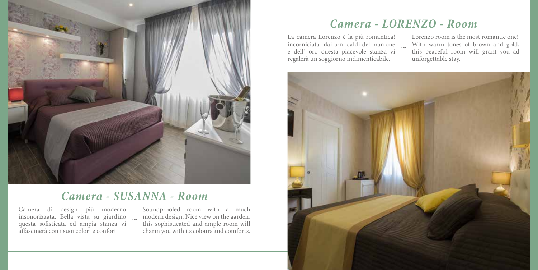

#### *Camera - SUSANNA - Room*

Camera di design più moderno insonorizzata. Bella vista su giardino  $\sim$ questa sofisticata ed ampia stanza vi affascinerà con i suoi colori e confort.

Soundproofed room with a much modern design. Nice view on the garden, this sophisticated and ample room will charm you with its colours and comforts.

#### *Camera - LORENZO - Room*

La camera Lorenzo è la più romantica! incorniciata dai toni caldi del marrone e dell' oro questa piacevole stanza vi regalerà un soggiorno indimenticabile.  $\sim$  Lorenzo room is the most romantic one! With warm tones of brown and gold, this peaceful room will grant you ad unforgettable stay.

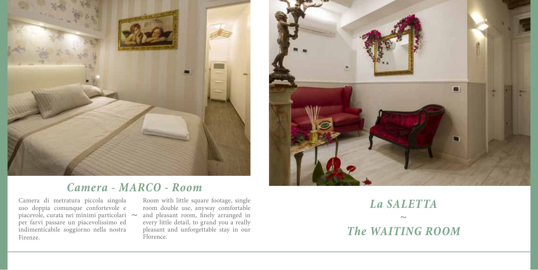

#### *Camera - MARCO - Room*

Camera di metratura piccola singola uso doppia comunque confortevole e piacevole, curata nei minimi particolari  $\sim$ per farvi passare un piacevolissimo ed indimenticabile soggiorno nella nostra Firenze.

Room with little square footage, single room double use, anyway comfortable Room with little square footage, single<br>
room double use, anyway comfortable<br>  $\sim$  and pleasant room, finely arranged in<br>
every little detail to grand you a really every little detail, to grand you a really pleasant and unforgettable stay in our Florence.



# *The WAITING ROOM*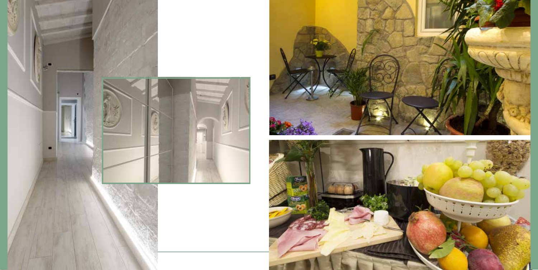

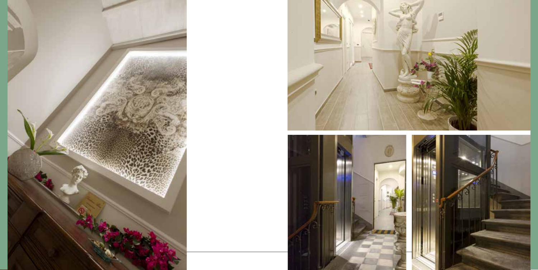